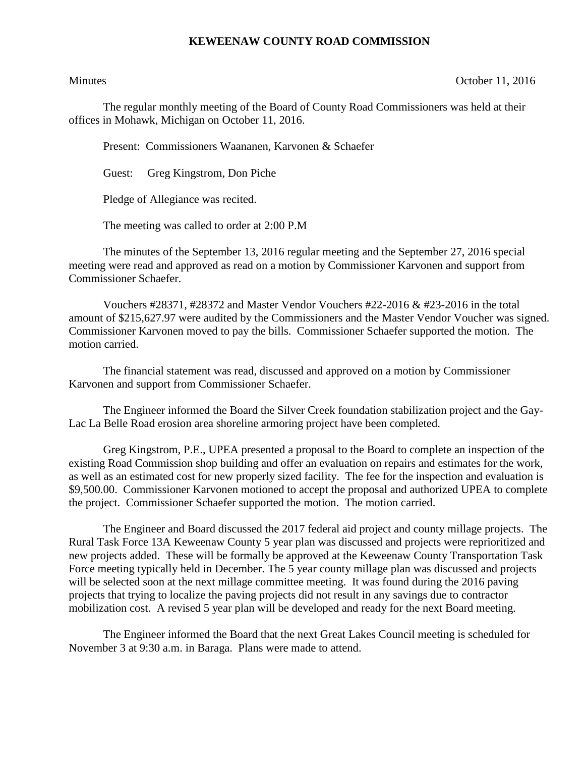## **KEWEENAW COUNTY ROAD COMMISSION**

Minutes **October 11, 2016** 

The regular monthly meeting of the Board of County Road Commissioners was held at their offices in Mohawk, Michigan on October 11, 2016.

Present: Commissioners Waananen, Karvonen & Schaefer

Guest: Greg Kingstrom, Don Piche

Pledge of Allegiance was recited.

The meeting was called to order at 2:00 P.M

The minutes of the September 13, 2016 regular meeting and the September 27, 2016 special meeting were read and approved as read on a motion by Commissioner Karvonen and support from Commissioner Schaefer.

Vouchers #28371, #28372 and Master Vendor Vouchers #22-2016 & #23-2016 in the total amount of \$215,627.97 were audited by the Commissioners and the Master Vendor Voucher was signed. Commissioner Karvonen moved to pay the bills. Commissioner Schaefer supported the motion. The motion carried.

The financial statement was read, discussed and approved on a motion by Commissioner Karvonen and support from Commissioner Schaefer.

The Engineer informed the Board the Silver Creek foundation stabilization project and the Gay-Lac La Belle Road erosion area shoreline armoring project have been completed.

Greg Kingstrom, P.E., UPEA presented a proposal to the Board to complete an inspection of the existing Road Commission shop building and offer an evaluation on repairs and estimates for the work, as well as an estimated cost for new properly sized facility. The fee for the inspection and evaluation is \$9,500.00. Commissioner Karvonen motioned to accept the proposal and authorized UPEA to complete the project. Commissioner Schaefer supported the motion. The motion carried.

The Engineer and Board discussed the 2017 federal aid project and county millage projects. The Rural Task Force 13A Keweenaw County 5 year plan was discussed and projects were reprioritized and new projects added. These will be formally be approved at the Keweenaw County Transportation Task Force meeting typically held in December. The 5 year county millage plan was discussed and projects will be selected soon at the next millage committee meeting. It was found during the 2016 paving projects that trying to localize the paving projects did not result in any savings due to contractor mobilization cost. A revised 5 year plan will be developed and ready for the next Board meeting.

The Engineer informed the Board that the next Great Lakes Council meeting is scheduled for November 3 at 9:30 a.m. in Baraga. Plans were made to attend.